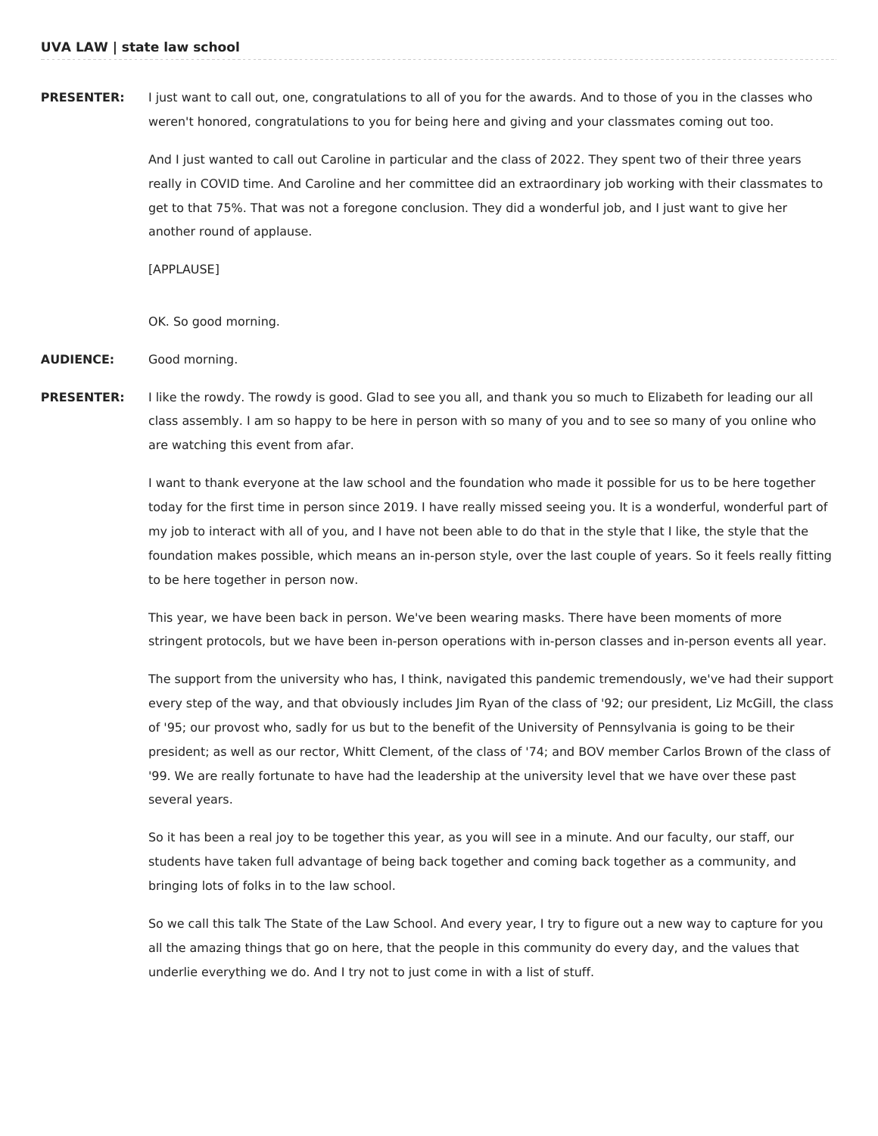**PRESENTER:** I just want to call out, one, congratulations to all of you for the awards. And to those of you in the classes who weren't honored, congratulations to you for being here and giving and your classmates coming out too.

> And I just wanted to call out Caroline in particular and the class of 2022. They spent two of their three years really in COVID time. And Caroline and her committee did an extraordinary job working with their classmates to get to that 75%. That was not a foregone conclusion. They did a wonderful job, and I just want to give her another round of applause.

[APPLAUSE]

OK. So good morning.

**AUDIENCE:** Good morning.

**PRESENTER:** I like the rowdy. The rowdy is good. Glad to see you all, and thank you so much to Elizabeth for leading our all class assembly. I am so happy to be here in person with so many of you and to see so many of you online who are watching this event from afar.

> I want to thank everyone at the law school and the foundation who made it possible for us to be here together today for the first time in person since 2019. I have really missed seeing you. It is a wonderful, wonderful part of my job to interact with all of you, and I have not been able to do that in the style that I like, the style that the foundation makes possible, which means an in-person style, over the last couple of years. So it feels really fitting to be here together in person now.

> This year, we have been back in person. We've been wearing masks. There have been moments of more stringent protocols, but we have been in-person operations with in-person classes and in-person events all year.

> The support from the university who has, I think, navigated this pandemic tremendously, we've had their support every step of the way, and that obviously includes Jim Ryan of the class of '92; our president, Liz McGill, the class of '95; our provost who, sadly for us but to the benefit of the University of Pennsylvania is going to be their president; as well as our rector, Whitt Clement, of the class of '74; and BOV member Carlos Brown of the class of '99. We are really fortunate to have had the leadership at the university level that we have over these past several years.

So it has been a real joy to be together this year, as you will see in a minute. And our faculty, our staff, our students have taken full advantage of being back together and coming back together as a community, and bringing lots of folks in to the law school.

So we call this talk The State of the Law School. And every year, I try to figure out a new way to capture for you all the amazing things that go on here, that the people in this community do every day, and the values that underlie everything we do. And I try not to just come in with a list of stuff.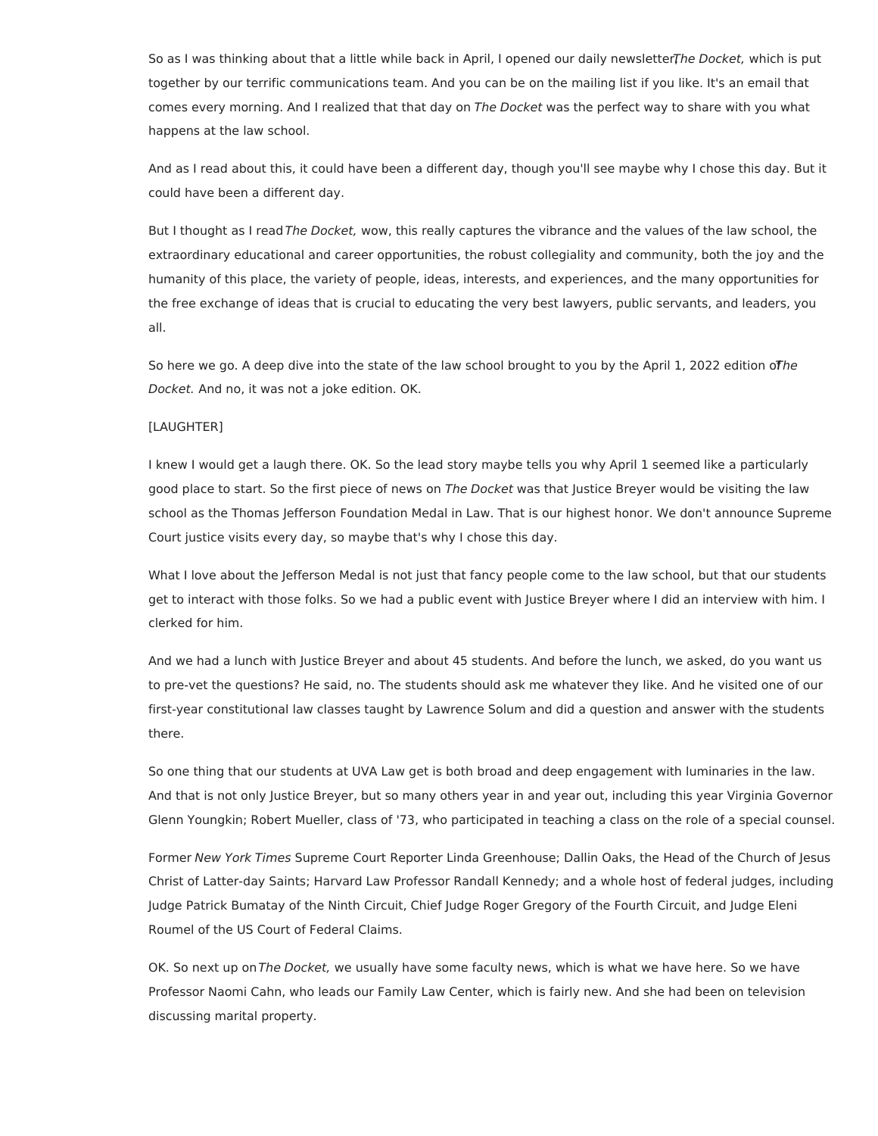So as I was thinking about that a little while back in April, I opened our daily newsletterThe Docket, which is put together by our terrific communications team. And you can be on the mailing list if you like. It's an email that comes every morning. And I realized that that day on The Docket was the perfect way to share with you what happens at the law school.

And as I read about this, it could have been a different day, though you'll see maybe why I chose this day. But it could have been a different day.

But I thought as I read The Docket, wow, this really captures the vibrance and the values of the law school, the extraordinary educational and career opportunities, the robust collegiality and community, both the joy and the humanity of this place, the variety of people, ideas, interests, and experiences, and the many opportunities for the free exchange of ideas that is crucial to educating the very best lawyers, public servants, and leaders, you all.

So here we go. A deep dive into the state of the law school brought to you by the April 1, 2022 edition of he Docket. And no, it was not a joke edition. OK.

# [LAUGHTER]

I knew I would get a laugh there. OK. So the lead story maybe tells you why April 1 seemed like a particularly good place to start. So the first piece of news on The Docket was that Justice Breyer would be visiting the law school as the Thomas Jefferson Foundation Medal in Law. That is our highest honor. We don't announce Supreme Court justice visits every day, so maybe that's why I chose this day.

What I love about the Jefferson Medal is not just that fancy people come to the law school, but that our students get to interact with those folks. So we had a public event with Justice Breyer where I did an interview with him. I clerked for him.

And we had a lunch with Justice Breyer and about 45 students. And before the lunch, we asked, do you want us to pre-vet the questions? He said, no. The students should ask me whatever they like. And he visited one of our first-year constitutional law classes taught by Lawrence Solum and did a question and answer with the students there.

So one thing that our students at UVA Law get is both broad and deep engagement with luminaries in the law. And that is not only Justice Breyer, but so many others year in and year out, including this year Virginia Governor Glenn Youngkin; Robert Mueller, class of '73, who participated in teaching a class on the role of a special counsel.

Former New York Times Supreme Court Reporter Linda Greenhouse; Dallin Oaks, the Head of the Church of Jesus Christ of Latter-day Saints; Harvard Law Professor Randall Kennedy; and a whole host of federal judges, including Judge Patrick Bumatay of the Ninth Circuit, Chief Judge Roger Gregory of the Fourth Circuit, and Judge Eleni Roumel of the US Court of Federal Claims.

OK. So next up on The Docket, we usually have some faculty news, which is what we have here. So we have Professor Naomi Cahn, who leads our Family Law Center, which is fairly new. And she had been on television discussing marital property.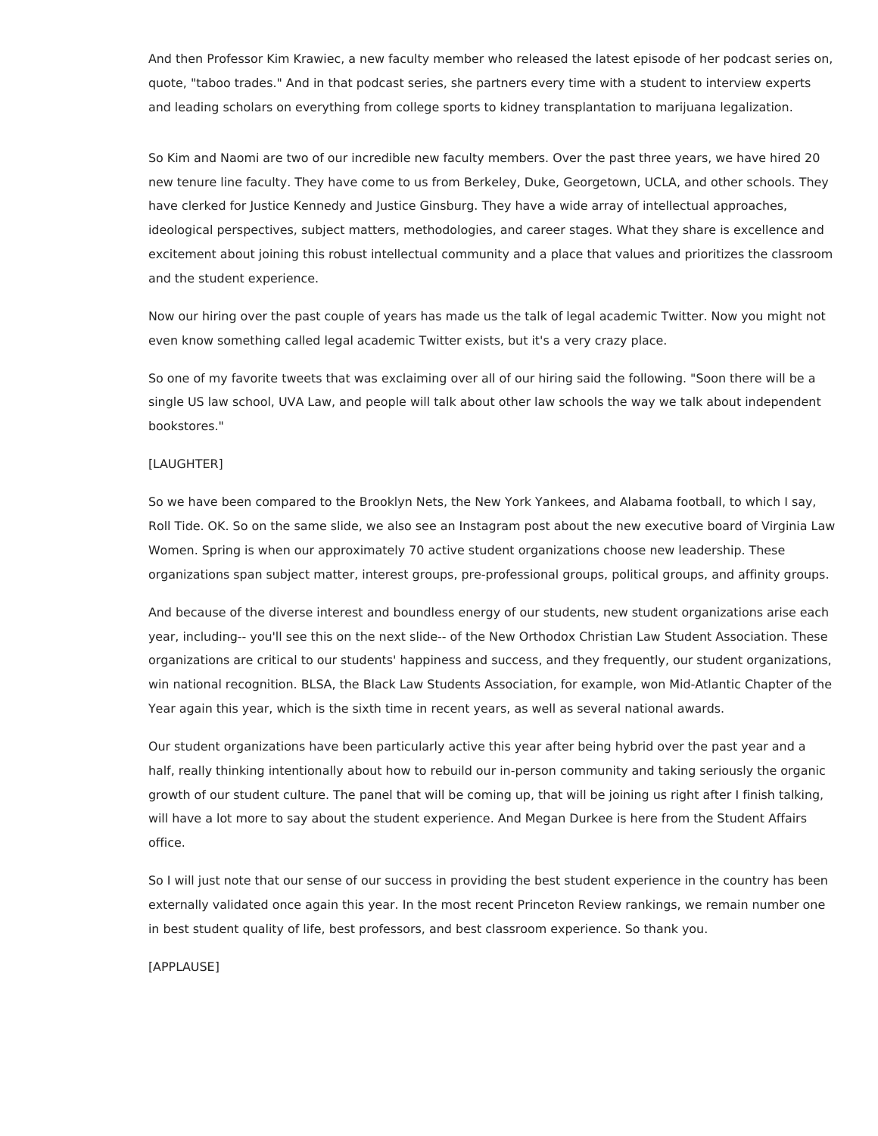And then Professor Kim Krawiec, a new faculty member who released the latest episode of her podcast series on, quote, "taboo trades." And in that podcast series, she partners every time with a student to interview experts and leading scholars on everything from college sports to kidney transplantation to marijuana legalization.

So Kim and Naomi are two of our incredible new faculty members. Over the past three years, we have hired 20 new tenure line faculty. They have come to us from Berkeley, Duke, Georgetown, UCLA, and other schools. They have clerked for Justice Kennedy and Justice Ginsburg. They have a wide array of intellectual approaches, ideological perspectives, subject matters, methodologies, and career stages. What they share is excellence and excitement about joining this robust intellectual community and a place that values and prioritizes the classroom and the student experience.

Now our hiring over the past couple of years has made us the talk of legal academic Twitter. Now you might not even know something called legal academic Twitter exists, but it's a very crazy place.

So one of my favorite tweets that was exclaiming over all of our hiring said the following. "Soon there will be a single US law school, UVA Law, and people will talk about other law schools the way we talk about independent bookstores."

# [LAUGHTER]

So we have been compared to the Brooklyn Nets, the New York Yankees, and Alabama football, to which I say, Roll Tide. OK. So on the same slide, we also see an Instagram post about the new executive board of Virginia Law Women. Spring is when our approximately 70 active student organizations choose new leadership. These organizations span subject matter, interest groups, pre-professional groups, political groups, and affinity groups.

And because of the diverse interest and boundless energy of our students, new student organizations arise each year, including-- you'll see this on the next slide-- of the New Orthodox Christian Law Student Association. These organizations are critical to our students' happiness and success, and they frequently, our student organizations, win national recognition. BLSA, the Black Law Students Association, for example, won Mid-Atlantic Chapter of the Year again this year, which is the sixth time in recent years, as well as several national awards.

Our student organizations have been particularly active this year after being hybrid over the past year and a half, really thinking intentionally about how to rebuild our in-person community and taking seriously the organic growth of our student culture. The panel that will be coming up, that will be joining us right after I finish talking, will have a lot more to say about the student experience. And Megan Durkee is here from the Student Affairs office.

So I will just note that our sense of our success in providing the best student experience in the country has been externally validated once again this year. In the most recent Princeton Review rankings, we remain number one in best student quality of life, best professors, and best classroom experience. So thank you.

[APPLAUSE]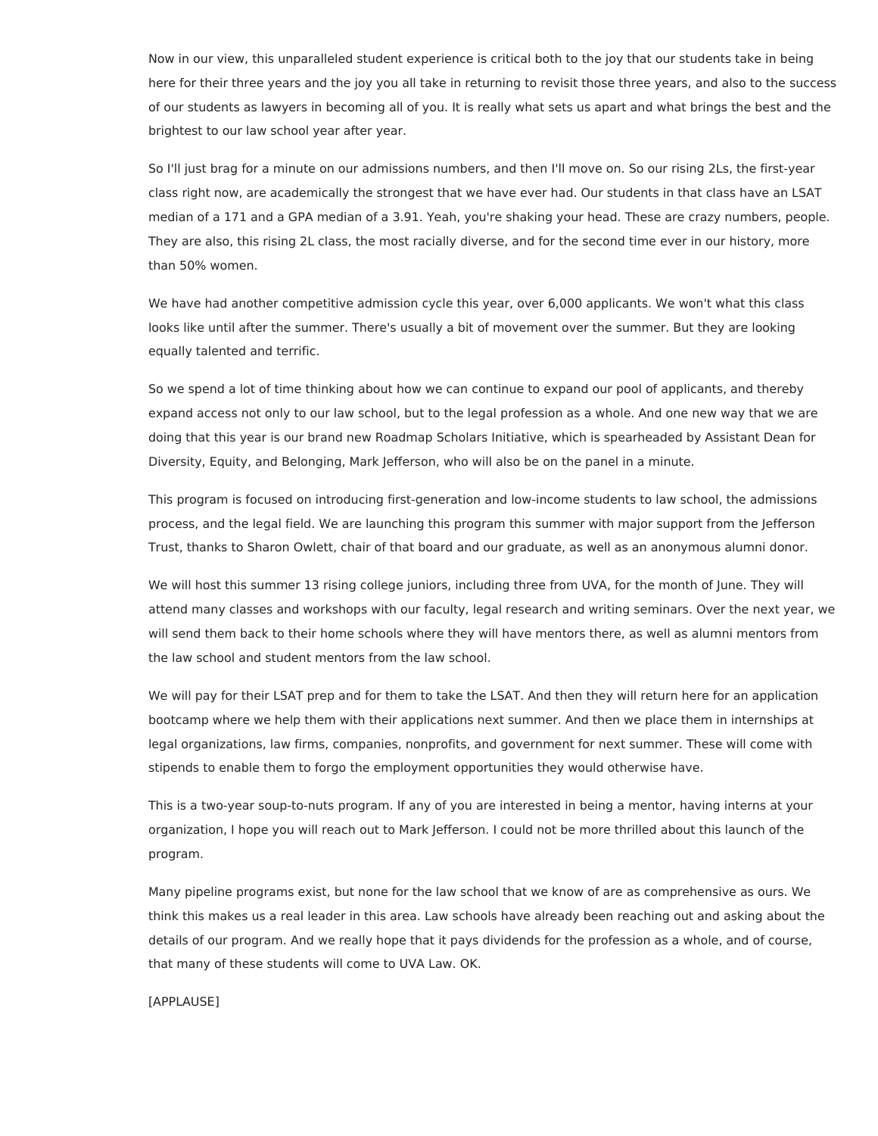Now in our view, this unparalleled student experience is critical both to the joy that our students take in being here for their three years and the joy you all take in returning to revisit those three years, and also to the success of our students as lawyers in becoming all of you. It is really what sets us apart and what brings the best and the brightest to our law school year after year.

So I'll just brag for a minute on our admissions numbers, and then I'll move on. So our rising 2Ls, the first-year class right now, are academically the strongest that we have ever had. Our students in that class have an LSAT median of a 171 and a GPA median of a 3.91. Yeah, you're shaking your head. These are crazy numbers, people. They are also, this rising 2L class, the most racially diverse, and for the second time ever in our history, more than 50% women.

We have had another competitive admission cycle this year, over 6,000 applicants. We won't what this class looks like until after the summer. There's usually a bit of movement over the summer. But they are looking equally talented and terrific.

So we spend a lot of time thinking about how we can continue to expand our pool of applicants, and thereby expand access not only to our law school, but to the legal profession as a whole. And one new way that we are doing that this year is our brand new Roadmap Scholars Initiative, which is spearheaded by Assistant Dean for Diversity, Equity, and Belonging, Mark Jefferson, who will also be on the panel in a minute.

This program is focused on introducing first-generation and low-income students to law school, the admissions process, and the legal field. We are launching this program this summer with major support from the Jefferson Trust, thanks to Sharon Owlett, chair of that board and our graduate, as well as an anonymous alumni donor.

We will host this summer 13 rising college juniors, including three from UVA, for the month of June. They will attend many classes and workshops with our faculty, legal research and writing seminars. Over the next year, we will send them back to their home schools where they will have mentors there, as well as alumni mentors from the law school and student mentors from the law school.

We will pay for their LSAT prep and for them to take the LSAT. And then they will return here for an application bootcamp where we help them with their applications next summer. And then we place them in internships at legal organizations, law firms, companies, nonprofits, and government for next summer. These will come with stipends to enable them to forgo the employment opportunities they would otherwise have.

This is a two-year soup-to-nuts program. If any of you are interested in being a mentor, having interns at your organization, I hope you will reach out to Mark Jefferson. I could not be more thrilled about this launch of the program.

Many pipeline programs exist, but none for the law school that we know of are as comprehensive as ours. We think this makes us a real leader in this area. Law schools have already been reaching out and asking about the details of our program. And we really hope that it pays dividends for the profession as a whole, and of course, that many of these students will come to UVA Law. OK.

[APPLAUSE]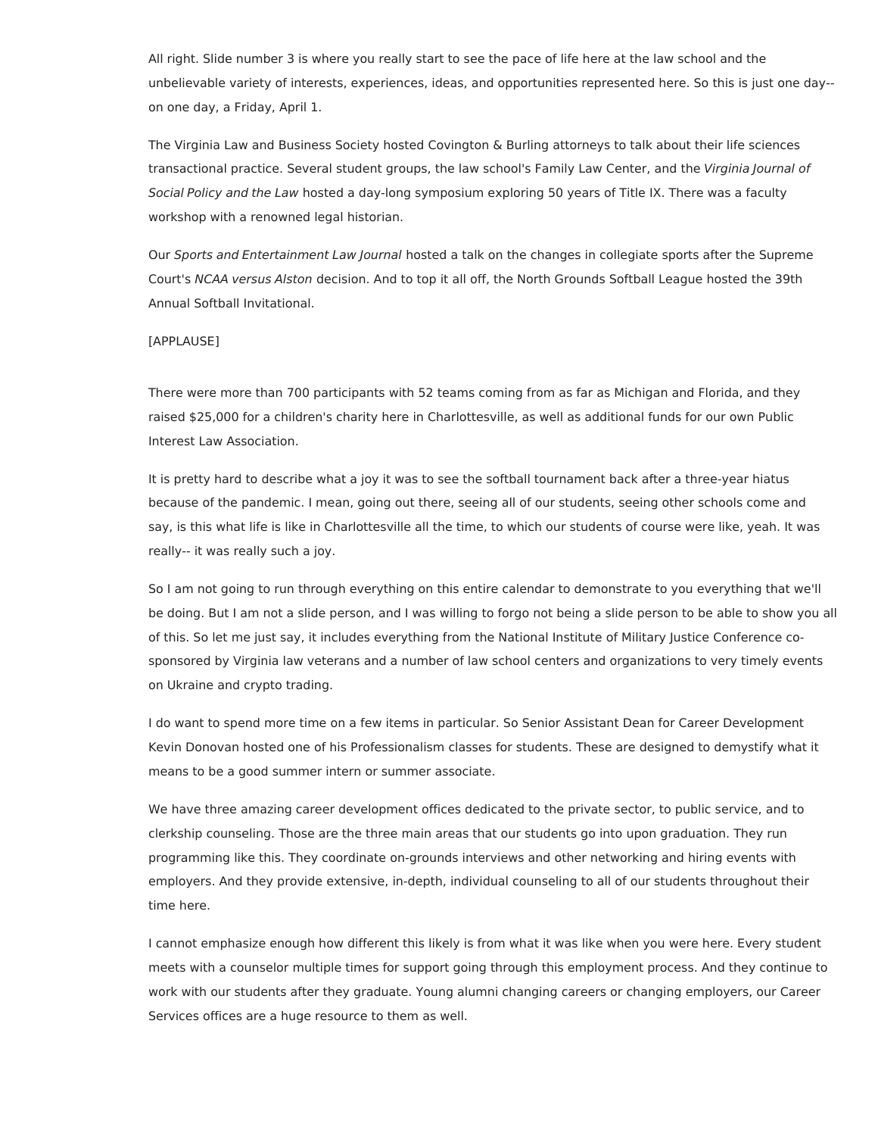All right. Slide number 3 is where you really start to see the pace of life here at the law school and the unbelievable variety of interests, experiences, ideas, and opportunities represented here. So this is just one day- on one day, a Friday, April 1.

The Virginia Law and Business Society hosted Covington & Burling attorneys to talk about their life sciences transactional practice. Several student groups, the law school's Family Law Center, and the Virginia Journal of Social Policy and the Law hosted a day-long symposium exploring 50 years of Title IX. There was a faculty workshop with a renowned legal historian.

Our Sports and Entertainment Law Journal hosted a talk on the changes in collegiate sports after the Supreme Court's NCAA versus Alston decision. And to top it all off, the North Grounds Softball League hosted the 39th Annual Softball Invitational.

#### [APPLAUSE]

There were more than 700 participants with 52 teams coming from as far as Michigan and Florida, and they raised \$25,000 for a children's charity here in Charlottesville, as well as additional funds for our own Public Interest Law Association.

It is pretty hard to describe what a joy it was to see the softball tournament back after a three-year hiatus because of the pandemic. I mean, going out there, seeing all of our students, seeing other schools come and say, is this what life is like in Charlottesville all the time, to which our students of course were like, yeah. It was really-- it was really such a joy.

So I am not going to run through everything on this entire calendar to demonstrate to you everything that we'll be doing. But I am not a slide person, and I was willing to forgo not being a slide person to be able to show you all of this. So let me just say, it includes everything from the National Institute of Military Justice Conference cosponsored by Virginia law veterans and a number of law school centers and organizations to very timely events on Ukraine and crypto trading.

I do want to spend more time on a few items in particular. So Senior Assistant Dean for Career Development Kevin Donovan hosted one of his Professionalism classes for students. These are designed to demystify what it means to be a good summer intern or summer associate.

We have three amazing career development offices dedicated to the private sector, to public service, and to clerkship counseling. Those are the three main areas that our students go into upon graduation. They run programming like this. They coordinate on-grounds interviews and other networking and hiring events with employers. And they provide extensive, in-depth, individual counseling to all of our students throughout their time here.

I cannot emphasize enough how different this likely is from what it was like when you were here. Every student meets with a counselor multiple times for support going through this employment process. And they continue to work with our students after they graduate. Young alumni changing careers or changing employers, our Career Services offices are a huge resource to them as well.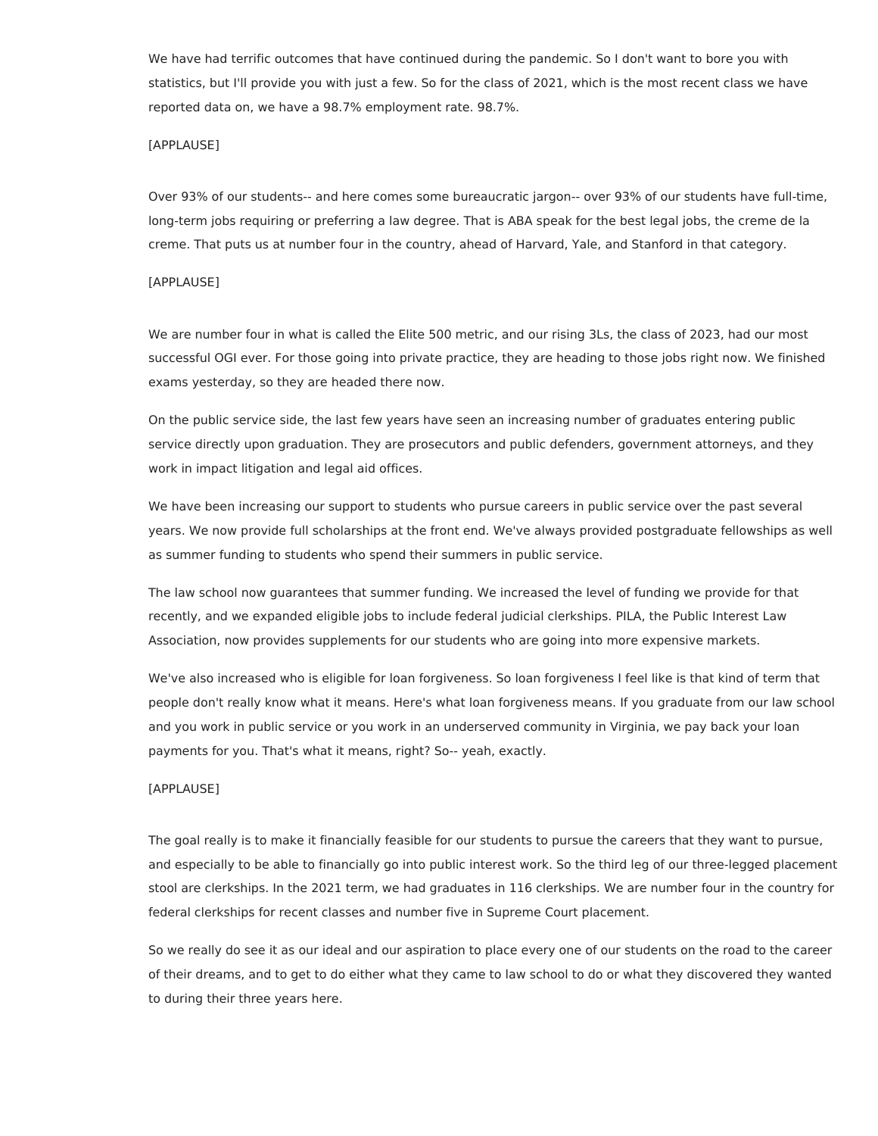We have had terrific outcomes that have continued during the pandemic. So I don't want to bore you with statistics, but I'll provide you with just a few. So for the class of 2021, which is the most recent class we have reported data on, we have a 98.7% employment rate. 98.7%.

### [APPLAUSE]

Over 93% of our students-- and here comes some bureaucratic jargon-- over 93% of our students have full-time, long-term jobs requiring or preferring a law degree. That is ABA speak for the best legal jobs, the creme de la creme. That puts us at number four in the country, ahead of Harvard, Yale, and Stanford in that category.

### [APPLAUSE]

We are number four in what is called the Elite 500 metric, and our rising 3Ls, the class of 2023, had our most successful OGI ever. For those going into private practice, they are heading to those jobs right now. We finished exams yesterday, so they are headed there now.

On the public service side, the last few years have seen an increasing number of graduates entering public service directly upon graduation. They are prosecutors and public defenders, government attorneys, and they work in impact litigation and legal aid offices.

We have been increasing our support to students who pursue careers in public service over the past several years. We now provide full scholarships at the front end. We've always provided postgraduate fellowships as well as summer funding to students who spend their summers in public service.

The law school now guarantees that summer funding. We increased the level of funding we provide for that recently, and we expanded eligible jobs to include federal judicial clerkships. PILA, the Public Interest Law Association, now provides supplements for our students who are going into more expensive markets.

We've also increased who is eligible for loan forgiveness. So loan forgiveness I feel like is that kind of term that people don't really know what it means. Here's what loan forgiveness means. If you graduate from our law school and you work in public service or you work in an underserved community in Virginia, we pay back your loan payments for you. That's what it means, right? So-- yeah, exactly.

#### [APPLAUSE]

The goal really is to make it financially feasible for our students to pursue the careers that they want to pursue, and especially to be able to financially go into public interest work. So the third leg of our three-legged placement stool are clerkships. In the 2021 term, we had graduates in 116 clerkships. We are number four in the country for federal clerkships for recent classes and number five in Supreme Court placement.

So we really do see it as our ideal and our aspiration to place every one of our students on the road to the career of their dreams, and to get to do either what they came to law school to do or what they discovered they wanted to during their three years here.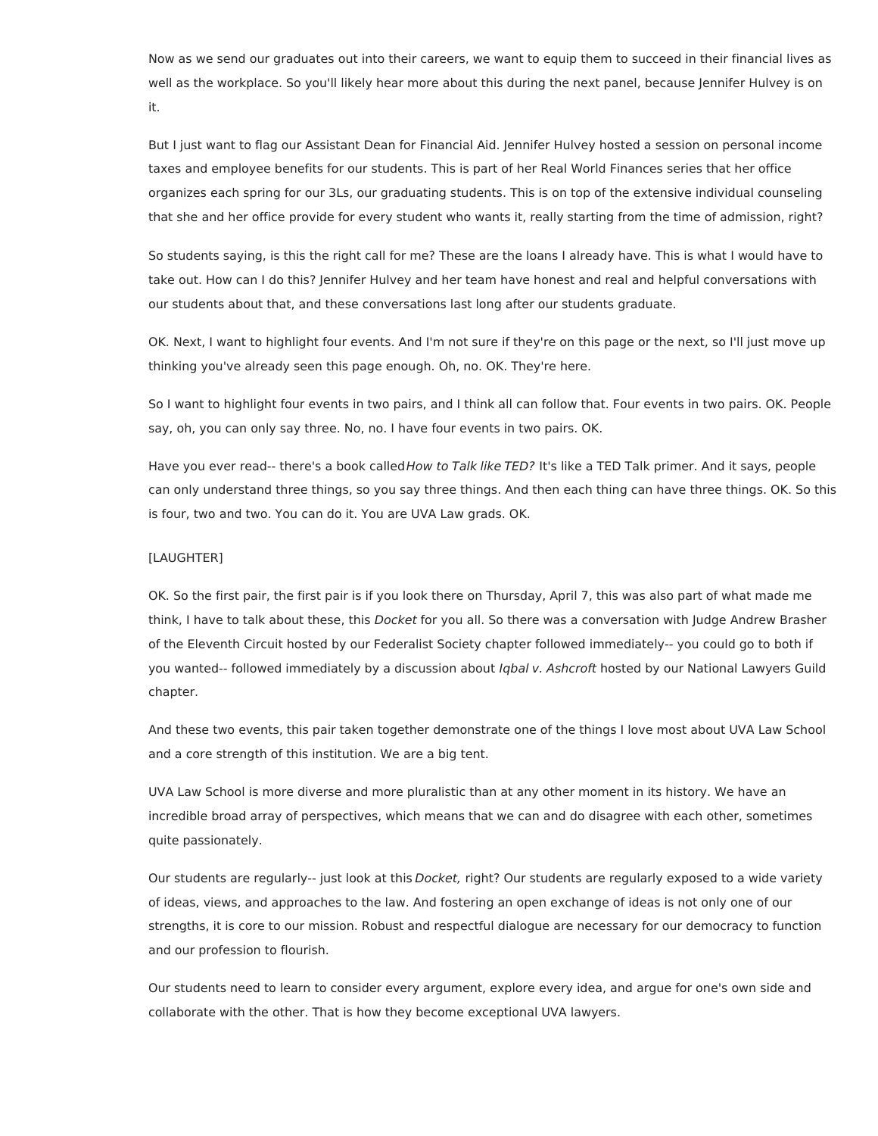Now as we send our graduates out into their careers, we want to equip them to succeed in their financial lives as well as the workplace. So you'll likely hear more about this during the next panel, because Jennifer Hulvey is on it.

But I just want to flag our Assistant Dean for Financial Aid. Jennifer Hulvey hosted a session on personal income taxes and employee benefits for our students. This is part of her Real World Finances series that her office organizes each spring for our 3Ls, our graduating students. This is on top of the extensive individual counseling that she and her office provide for every student who wants it, really starting from the time of admission, right?

So students saying, is this the right call for me? These are the loans I already have. This is what I would have to take out. How can I do this? Jennifer Hulvey and her team have honest and real and helpful conversations with our students about that, and these conversations last long after our students graduate.

OK. Next, I want to highlight four events. And I'm not sure if they're on this page or the next, so I'll just move up thinking you've already seen this page enough. Oh, no. OK. They're here.

So I want to highlight four events in two pairs, and I think all can follow that. Four events in two pairs. OK. People say, oh, you can only say three. No, no. I have four events in two pairs. OK.

Have you ever read-- there's a book called How to Talk like TED? It's like a TED Talk primer. And it says, people can only understand three things, so you say three things. And then each thing can have three things. OK. So this is four, two and two. You can do it. You are UVA Law grads. OK.

## [LAUGHTER]

OK. So the first pair, the first pair is if you look there on Thursday, April 7, this was also part of what made me think, I have to talk about these, this Docket for you all. So there was a conversation with Judge Andrew Brasher of the Eleventh Circuit hosted by our Federalist Society chapter followed immediately-- you could go to both if you wanted-- followed immediately by a discussion about Iqbal v. Ashcroft hosted by our National Lawyers Guild chapter.

And these two events, this pair taken together demonstrate one of the things I love most about UVA Law School and a core strength of this institution. We are a big tent.

UVA Law School is more diverse and more pluralistic than at any other moment in its history. We have an incredible broad array of perspectives, which means that we can and do disagree with each other, sometimes quite passionately.

Our students are regularly-- just look at this Docket, right? Our students are regularly exposed to a wide variety of ideas, views, and approaches to the law. And fostering an open exchange of ideas is not only one of our strengths, it is core to our mission. Robust and respectful dialogue are necessary for our democracy to function and our profession to flourish.

Our students need to learn to consider every argument, explore every idea, and argue for one's own side and collaborate with the other. That is how they become exceptional UVA lawyers.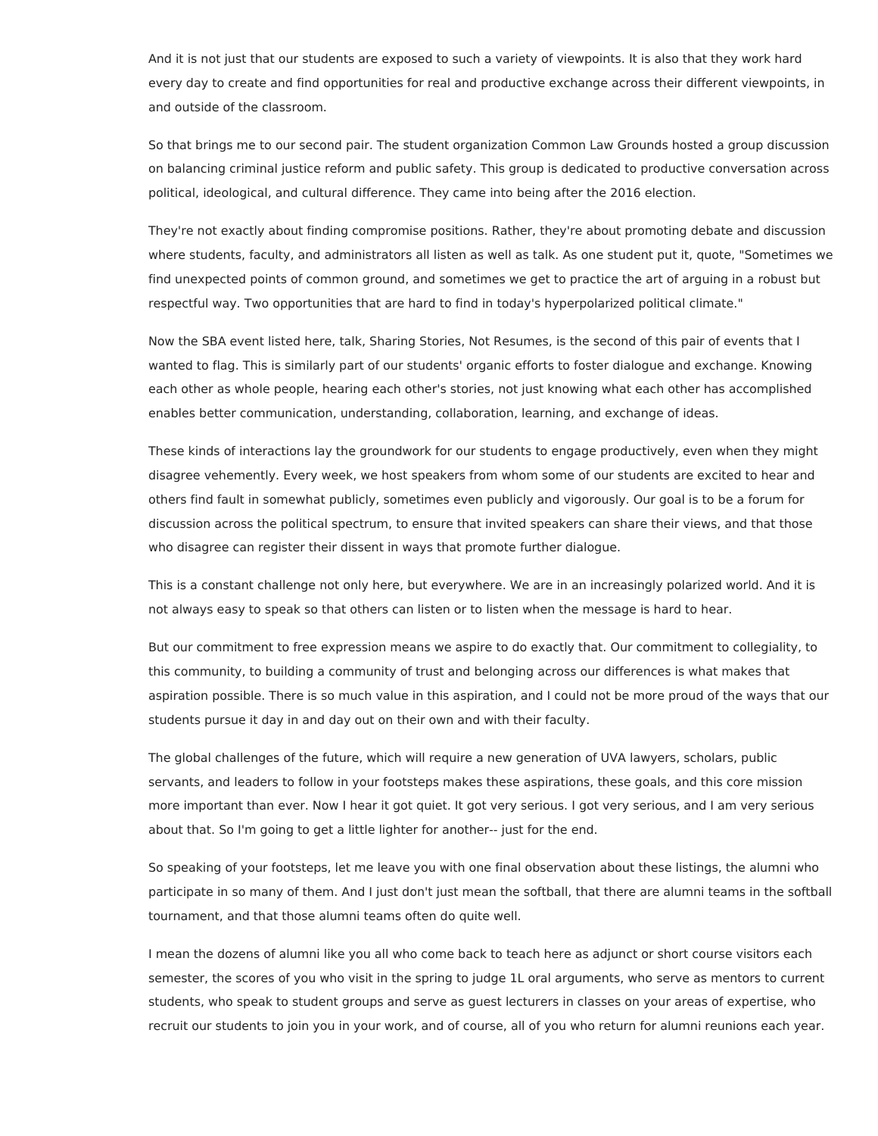And it is not just that our students are exposed to such a variety of viewpoints. It is also that they work hard every day to create and find opportunities for real and productive exchange across their different viewpoints, in and outside of the classroom.

So that brings me to our second pair. The student organization Common Law Grounds hosted a group discussion on balancing criminal justice reform and public safety. This group is dedicated to productive conversation across political, ideological, and cultural difference. They came into being after the 2016 election.

They're not exactly about finding compromise positions. Rather, they're about promoting debate and discussion where students, faculty, and administrators all listen as well as talk. As one student put it, quote, "Sometimes we find unexpected points of common ground, and sometimes we get to practice the art of arguing in a robust but respectful way. Two opportunities that are hard to find in today's hyperpolarized political climate."

Now the SBA event listed here, talk, Sharing Stories, Not Resumes, is the second of this pair of events that I wanted to flag. This is similarly part of our students' organic efforts to foster dialogue and exchange. Knowing each other as whole people, hearing each other's stories, not just knowing what each other has accomplished enables better communication, understanding, collaboration, learning, and exchange of ideas.

These kinds of interactions lay the groundwork for our students to engage productively, even when they might disagree vehemently. Every week, we host speakers from whom some of our students are excited to hear and others find fault in somewhat publicly, sometimes even publicly and vigorously. Our goal is to be a forum for discussion across the political spectrum, to ensure that invited speakers can share their views, and that those who disagree can register their dissent in ways that promote further dialogue.

This is a constant challenge not only here, but everywhere. We are in an increasingly polarized world. And it is not always easy to speak so that others can listen or to listen when the message is hard to hear.

But our commitment to free expression means we aspire to do exactly that. Our commitment to collegiality, to this community, to building a community of trust and belonging across our differences is what makes that aspiration possible. There is so much value in this aspiration, and I could not be more proud of the ways that our students pursue it day in and day out on their own and with their faculty.

The global challenges of the future, which will require a new generation of UVA lawyers, scholars, public servants, and leaders to follow in your footsteps makes these aspirations, these goals, and this core mission more important than ever. Now I hear it got quiet. It got very serious. I got very serious, and I am very serious about that. So I'm going to get a little lighter for another-- just for the end.

So speaking of your footsteps, let me leave you with one final observation about these listings, the alumni who participate in so many of them. And I just don't just mean the softball, that there are alumni teams in the softball tournament, and that those alumni teams often do quite well.

I mean the dozens of alumni like you all who come back to teach here as adjunct or short course visitors each semester, the scores of you who visit in the spring to judge 1L oral arguments, who serve as mentors to current students, who speak to student groups and serve as guest lecturers in classes on your areas of expertise, who recruit our students to join you in your work, and of course, all of you who return for alumni reunions each year.